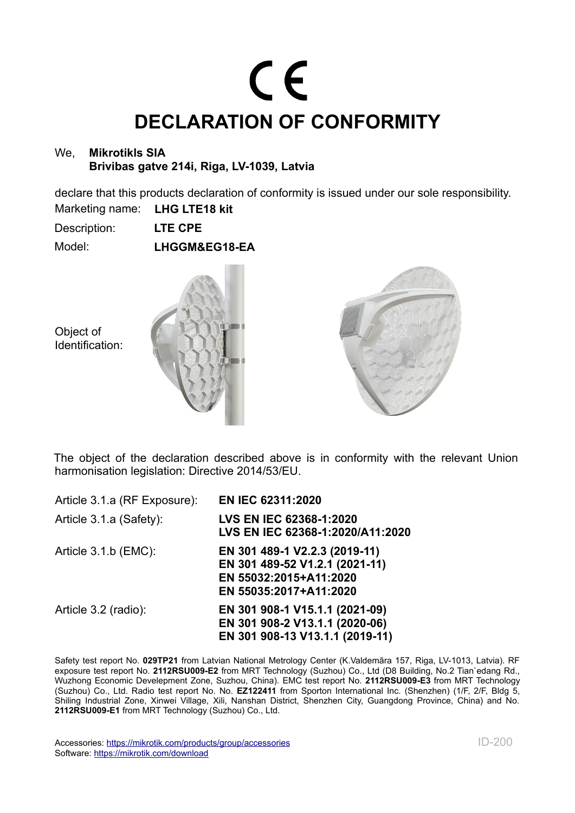## CE **DECLARATION OF CONFORMITY**

## We, **Mikrotikls SIA Brivibas gatve 214i, Riga, LV-1039, Latvia**

declare that this products declaration of conformity is issued under our sole responsibility.

Marketing name: **LHG LTE18 kit**

Description: **LTE CPE**

Model: **LHGGM&EG18-EA**

Object of Identification:





The object of the declaration described above is in conformity with the relevant Union harmonisation legislation: Directive 2014/53/EU.

| Article 3.1.a (RF Exposure): | <b>EN IEC 62311:2020</b>                                                                                            |
|------------------------------|---------------------------------------------------------------------------------------------------------------------|
| Article 3.1.a (Safety):      | <b>LVS EN IEC 62368-1:2020</b><br>LVS EN IEC 62368-1:2020/A11:2020                                                  |
| Article $3.1.b$ (EMC):       | EN 301 489-1 V2.2.3 (2019-11)<br>EN 301 489-52 V1.2.1 (2021-11)<br>EN 55032:2015+A11:2020<br>EN 55035:2017+A11:2020 |
| Article 3.2 (radio):         | EN 301 908-1 V15.1.1 (2021-09)<br>EN 301 908-2 V13.1.1 (2020-06)<br>EN 301 908-13 V13.1.1 (2019-11)                 |

Safety test report No. **029TP21** from Latvian National Metrology Center (K.Valdemāra 157, Riga, LV-1013, Latvia). RF exposure test report No. **2112RSU009-E2** from MRT Technology (Suzhou) Co., Ltd (D8 Building, No.2 Tian`edang Rd., Wuzhong Economic Develepment Zone, Suzhou, China). EMC test report No. **2112RSU009-E3** from MRT Technology (Suzhou) Co., Ltd. Radio test report No. No. **EZ122411** from Sporton International Inc. (Shenzhen) (1/F, 2/F, Bldg 5, Shiling Industrial Zone, Xinwei Village, Xili, Nanshan District, Shenzhen City, Guangdong Province, China) and No. **2112RSU009-E1** from MRT Technology (Suzhou) Co., Ltd.